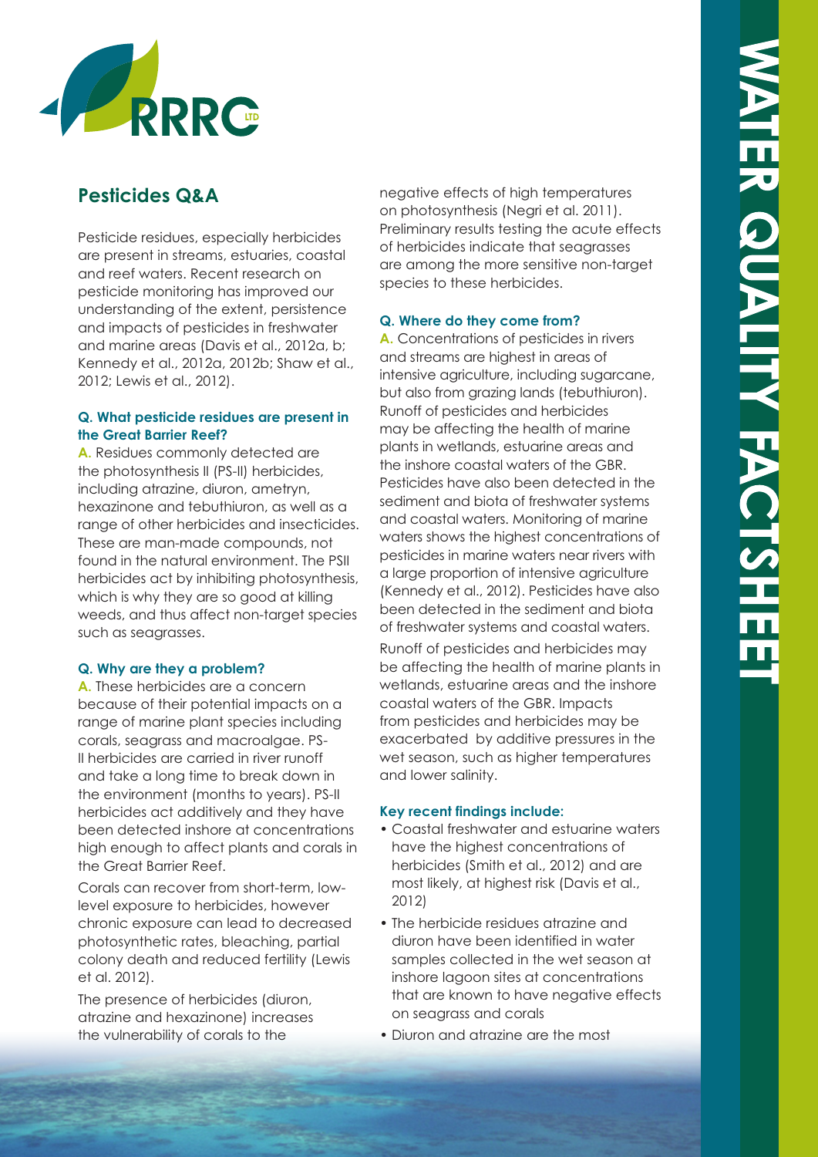

# **Pesticides Q&A**

Pesticide residues, especially herbicides are present in streams, estuaries, coastal and reef waters. Recent research on pesticide monitoring has improved our understanding of the extent, persistence and impacts of pesticides in freshwater and marine areas (Davis et al., 2012a, b; Kennedy et al., 2012a, 2012b; Shaw et al., 2012; Lewis et al., 2012).

### **Q. What pesticide residues are present in the Great Barrier Reef?**

**A.** Residues commonly detected are the photosynthesis II (PS-II) herbicides, including atrazine, diuron, ametryn, hexazinone and tebuthiuron, as well as a range of other herbicides and insecticides. These are man-made compounds, not found in the natural environment. The PSII herbicides act by inhibiting photosynthesis, which is why they are so good at killing weeds, and thus affect non-target species such as seagrasses.

## **Q. Why are they a problem?**

**A.** These herbicides are a concern because of their potential impacts on a range of marine plant species including corals, seagrass and macroalgae. PS-II herbicides are carried in river runoff and take a long time to break down in the environment (months to years). PS-II herbicides act additively and they have been detected inshore at concentrations high enough to affect plants and corals in the Great Barrier Reef.

Corals can recover from short-term, lowlevel exposure to herbicides, however chronic exposure can lead to decreased photosynthetic rates, bleaching, partial colony death and reduced fertility (Lewis et al. 2012).

The presence of herbicides (diuron, atrazine and hexazinone) increases the vulnerability of corals to the

negative effects of high temperatures on photosynthesis (Negri et al. 2011). Preliminary results testing the acute effects of herbicides indicate that seagrasses are among the more sensitive non-target species to these herbicides.

### **Q. Where do they come from?**

**A.** Concentrations of pesticides in rivers and streams are highest in areas of intensive agriculture, including sugarcane, but also from grazing lands (tebuthiuron). Runoff of pesticides and herbicides may be affecting the health of marine plants in wetlands, estuarine areas and the inshore coastal waters of the GBR. Pesticides have also been detected in the sediment and biota of freshwater systems and coastal waters. Monitoring of marine waters shows the highest concentrations of pesticides in marine waters near rivers with a large proportion of intensive agriculture (Kennedy et al., 2012). Pesticides have also been detected in the sediment and biota of freshwater systems and coastal waters.

Runoff of pesticides and herbicides may be affecting the health of marine plants in wetlands, estuarine areas and the inshore coastal waters of the GBR. Impacts from pesticides and herbicides may be exacerbated by additive pressures in the wet season, such as higher temperatures and lower salinity.

#### **Key recent findings include:**

- Coastal freshwater and estuarine waters have the highest concentrations of herbicides (Smith et al., 2012) and are most likely, at highest risk (Davis et al., 2012)
- The herbicide residues atrazine and diuron have been identified in water samples collected in the wet season at inshore lagoon sites at concentrations that are known to have negative effects on seagrass and corals
- Diuron and atrazine are the most